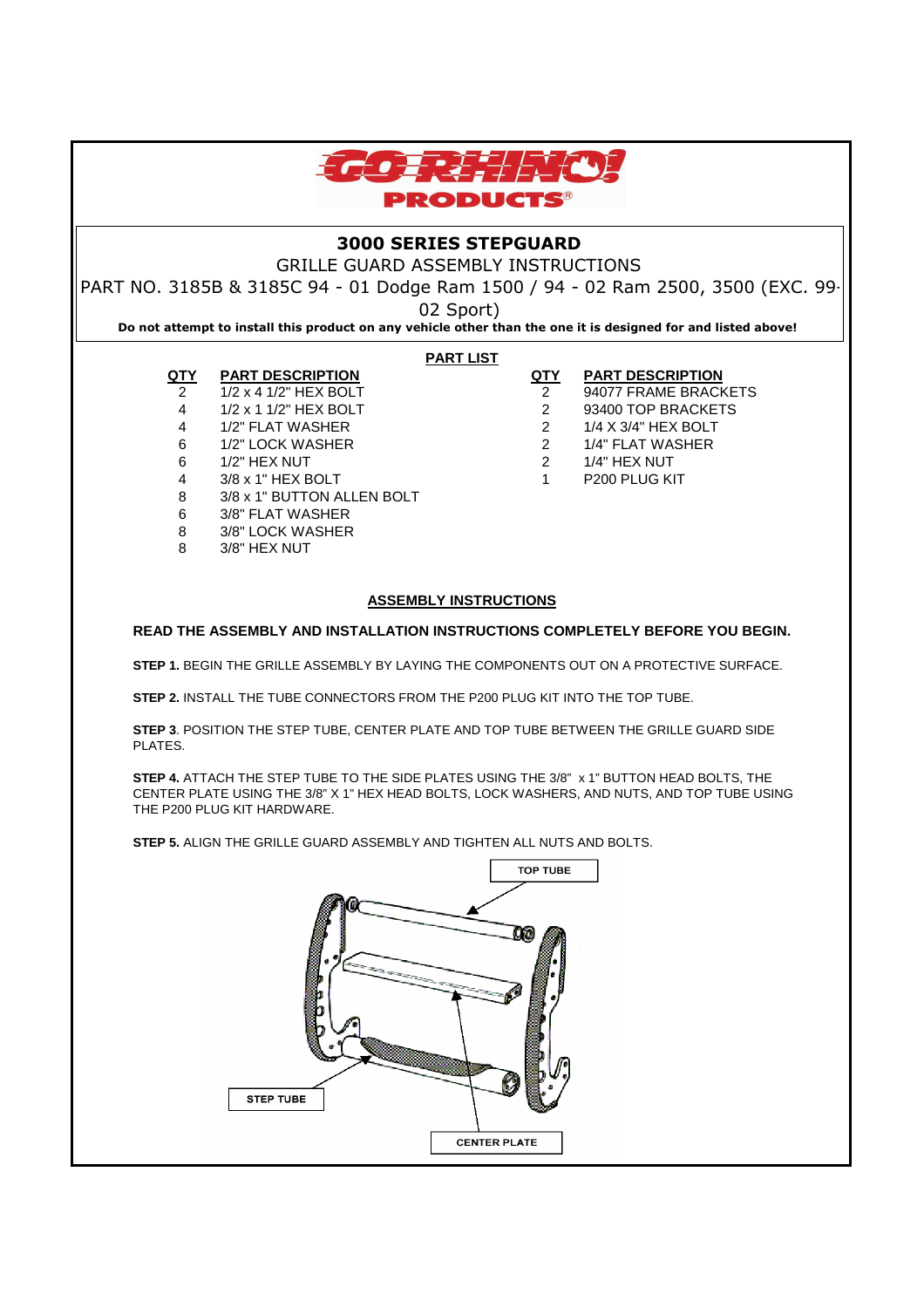

# **3000 SERIES STEPGUARD**

GRILLE GUARD ASSEMBLY INSTRUCTIONS

PART NO. 3185B & 3185C 94 - 01 Dodge Ram 1500 / 94 - 02 Ram 2500, 3500 (EXC. 99-

02 Sport)

**Do not attempt to install this product on any vehicle other than the one it is designed for and listed above!**

### **PART LIST**

# **QTY PART DESCRIPTION QTY PART DESCRIPTION**

- 2 1/2 x 4 1/2" HEX BOLT 2 94077 FRAME BRACKETS
- 4 1/2 x 1 1/2" HEX BOLT 2 93400 TOP BRACKETS
- 4 1/2" FLAT WASHER 2 1/4 X 3/4" HEX BOLT
- 6 1/2" LOCK WASHER 2 1/4" FLAT WASHER
- 6 1/2" HEX NUT 2 1/4" HEX NUT
- 4 3/8 x 1" HEX BOLT 1 P200 PLUG KIT
- 6 3/8" FLAT WASHER

8 3/8 x 1" BUTTON ALLEN BOLT

- 8 3/8" LOCK WASHER
- 8 3/8" HEX NUT

## **ASSEMBLY INSTRUCTIONS**

### **READ THE ASSEMBLY AND INSTALLATION INSTRUCTIONS COMPLETELY BEFORE YOU BEGIN.**

**STEP 1.** BEGIN THE GRILLE ASSEMBLY BY LAYING THE COMPONENTS OUT ON A PROTECTIVE SURFACE.

**STEP 2.** INSTALL THE TUBE CONNECTORS FROM THE P200 PLUG KIT INTO THE TOP TUBE.

**STEP 3**. POSITION THE STEP TUBE, CENTER PLATE AND TOP TUBE BETWEEN THE GRILLE GUARD SIDE PLATES.

**STEP 4.** ATTACH THE STEP TUBE TO THE SIDE PLATES USING THE 3/8" x 1" BUTTON HEAD BOLTS, THE CENTER PLATE USING THE 3/8" X 1" HEX HEAD BOLTS, LOCK WASHERS, AND NUTS, AND TOP TUBE USING THE P200 PLUG KIT HARDWARE.

**STEP 5.** ALIGN THE GRILLE GUARD ASSEMBLY AND TIGHTEN ALL NUTS AND BOLTS.

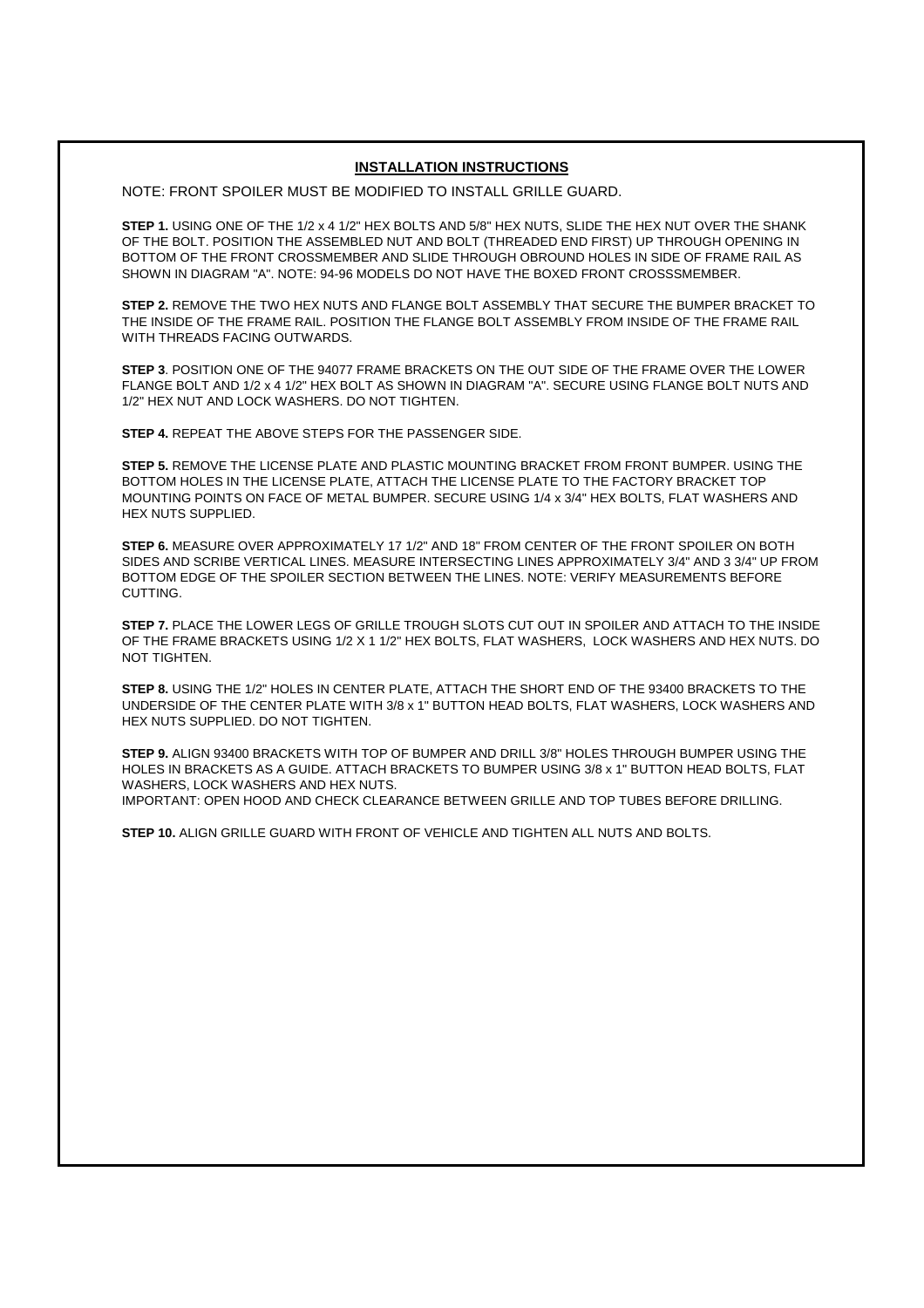#### **INSTALLATION INSTRUCTIONS**

NOTE: FRONT SPOILER MUST BE MODIFIED TO INSTALL GRILLE GUARD.

**STEP 1.** USING ONE OF THE 1/2 x 4 1/2" HEX BOLTS AND 5/8" HEX NUTS, SLIDE THE HEX NUT OVER THE SHANK OF THE BOLT. POSITION THE ASSEMBLED NUT AND BOLT (THREADED END FIRST) UP THROUGH OPENING IN BOTTOM OF THE FRONT CROSSMEMBER AND SLIDE THROUGH OBROUND HOLES IN SIDE OF FRAME RAIL AS SHOWN IN DIAGRAM "A". NOTE: 94-96 MODELS DO NOT HAVE THE BOXED FRONT CROSSSMEMBER.

**STEP 2.** REMOVE THE TWO HEX NUTS AND FLANGE BOLT ASSEMBLY THAT SECURE THE BUMPER BRACKET TO THE INSIDE OF THE FRAME RAIL. POSITION THE FLANGE BOLT ASSEMBLY FROM INSIDE OF THE FRAME RAIL WITH THREADS FACING OUTWARDS.

**STEP 3**. POSITION ONE OF THE 94077 FRAME BRACKETS ON THE OUT SIDE OF THE FRAME OVER THE LOWER FLANGE BOLT AND 1/2 x 4 1/2" HEX BOLT AS SHOWN IN DIAGRAM "A". SECURE USING FLANGE BOLT NUTS AND 1/2" HEX NUT AND LOCK WASHERS. DO NOT TIGHTEN.

**STEP 4.** REPEAT THE ABOVE STEPS FOR THE PASSENGER SIDE.

**STEP 5.** REMOVE THE LICENSE PLATE AND PLASTIC MOUNTING BRACKET FROM FRONT BUMPER. USING THE BOTTOM HOLES IN THE LICENSE PLATE, ATTACH THE LICENSE PLATE TO THE FACTORY BRACKET TOP MOUNTING POINTS ON FACE OF METAL BUMPER. SECURE USING 1/4 x 3/4" HEX BOLTS, FLAT WASHERS AND HEX NUTS SUPPLIED.

**STEP 6.** MEASURE OVER APPROXIMATELY 17 1/2" AND 18" FROM CENTER OF THE FRONT SPOILER ON BOTH SIDES AND SCRIBE VERTICAL LINES. MEASURE INTERSECTING LINES APPROXIMATELY 3/4" AND 3 3/4" UP FROM BOTTOM EDGE OF THE SPOILER SECTION BETWEEN THE LINES. NOTE: VERIFY MEASUREMENTS BEFORE CUTTING.

**STEP 7.** PLACE THE LOWER LEGS OF GRILLE TROUGH SLOTS CUT OUT IN SPOILER AND ATTACH TO THE INSIDE OF THE FRAME BRACKETS USING 1/2 X 1 1/2" HEX BOLTS, FLAT WASHERS, LOCK WASHERS AND HEX NUTS. DO NOT TIGHTEN.

**STEP 8.** USING THE 1/2" HOLES IN CENTER PLATE, ATTACH THE SHORT END OF THE 93400 BRACKETS TO THE UNDERSIDE OF THE CENTER PLATE WITH 3/8 x 1" BUTTON HEAD BOLTS, FLAT WASHERS, LOCK WASHERS AND HEX NUTS SUPPLIED. DO NOT TIGHTEN.

**STEP 9.** ALIGN 93400 BRACKETS WITH TOP OF BUMPER AND DRILL 3/8" HOLES THROUGH BUMPER USING THE HOLES IN BRACKETS AS A GUIDE. ATTACH BRACKETS TO BUMPER USING 3/8 x 1" BUTTON HEAD BOLTS, FLAT WASHERS, LOCK WASHERS AND HEX NUTS. IMPORTANT: OPEN HOOD AND CHECK CLEARANCE BETWEEN GRILLE AND TOP TUBES BEFORE DRILLING.

**STEP 10.** ALIGN GRILLE GUARD WITH FRONT OF VEHICLE AND TIGHTEN ALL NUTS AND BOLTS.